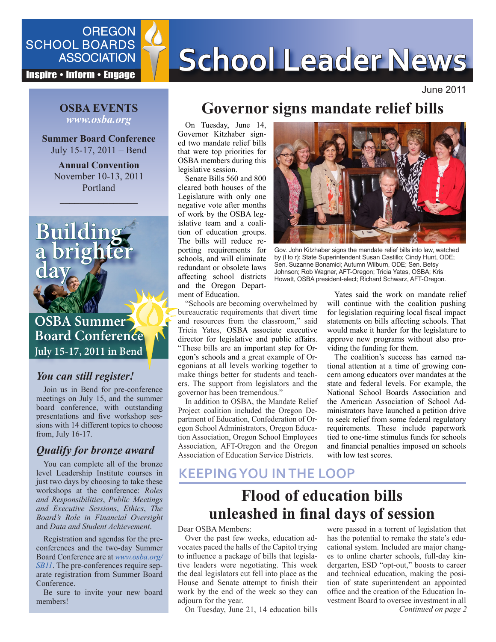

**Inspire • Inform • Engage** 

# SCHOOL BOARDS **SCHOOL Leader News**

June 2011

#### **OSBA EVENTS** *www.osba.org*

**Summer Board Conference** July 15-17, 2011 – Bend

**Annual Convention** November 10-13, 2011 Portland

 $\frac{1}{\sqrt{2\pi}}\left(\frac{1}{\sqrt{2\pi}}\right)^{2\sqrt{2\pi}}\left(\frac{1}{\sqrt{2\pi}}\right)^{2\sqrt{2\pi}}$ 



# **Board Conference July 15-17, 2011 in Bend**

### *You can still register!*

Join us in Bend for pre-conference meetings on July 15, and the summer board conference, with outstanding presentations and five workshop sessions with 14 different topics to choose from, July 16-17.

## *Qualify for bronze award*

You can complete all of the bronze level Leadership Institute courses in just two days by choosing to take these workshops at the conference: *Roles and Responsibilities*, *Public Meetings and Executive Sessions*, *Ethics*, *The Board's Role in Financial Oversight* and *Data and Student Achievement*.

Registration and agendas for the preconferences and the two-day Summer Board Conference are at *[www.osba.org/](http://www.osba.org/SB11) [SB11](http://www.osba.org/SB11)*. The pre-conferences require separate registration from Summer Board Conference.

Be sure to invite your new board members!

## **Governor signs mandate relief bills**

On Tuesday, June 14, Governor Kitzhaber signed two mandate relief bills that were top priorities for OSBA members during this legislative session.

Senate Bills 560 and 800 cleared both houses of the Legislature with only one negative vote after months of work by the OSBA legislative team and a coalition of education groups. The bills will reduce reporting requirements for schools, and will eliminate redundant or obsolete laws affecting school districts and the Oregon Department of Education.

"Schools are becoming overwhelmed by bureaucratic requirements that divert time and resources from the classroom," said Tricia Yates, OSBA associate executive director for legislative and public affairs. "These bills are an important step for Oregon's schools and a great example of Oregonians at all levels working together to make things better for students and teachers. The support from legislators and the governor has been tremendous."

In addition to OSBA, the Mandate Relief Project coalition included the Oregon Department of Education, Confederation of Oregon School Administrators, Oregon Education Association, Oregon School Employees Association, AFT-Oregon and the Oregon Association of Education Service Districts.



Gov. John Kitzhaber signs the mandate relief bills into law, watched by (l to r): State Superintendent Susan Castillo; Cindy Hunt, ODE; Sen. Suzanne Bonamici; Autumn Wilburn, ODE; Sen. Betsy Johnson; Rob Wagner, AFT-Oregon; Tricia Yates, OSBA; Kris Howatt, OSBA president-elect; Richard Schwarz, AFT-Oregon.

Yates said the work on mandate relief will continue with the coalition pushing for legislation requiring local fiscal impact statements on bills affecting schools. That would make it harder for the legislature to approve new programs without also providing the funding for them.

The coalition's success has earned national attention at a time of growing concern among educators over mandates at the state and federal levels. For example, the National School Boards Association and the American Association of School Administrators have launched a [petition drive](http://www.osba.org/News%20Center/Announcements/2011-06-01_Petition_Congress.aspx)  to seek relief from some federal regulatory requirements. These include paperwork tied to one-time stimulus funds for schools and financial penalties imposed on schools with low test scores.

## **KEEPING YOU IN THE LOOP**

# **Flood of education bills unleashed in final days of session**

Dear OSBA Members:

Over the past few weeks, education advocates paced the halls of the Capitol trying to influence a package of bills that legislative leaders were negotiating. This week the deal legislators cut fell into place as the House and Senate attempt to finish their work by the end of the week so they can adjourn for the year.

On Tuesday, June 21, 14 education bills

*Continued on page 2* were passed in a torrent of legislation that has the potential to remake the state's educational system. Included are major changes to online charter schools, full-day kindergarten, ESD "opt-out," boosts to career and technical education, making the position of state superintendent an appointed office and the creation of the Education Investment Board to oversee investment in all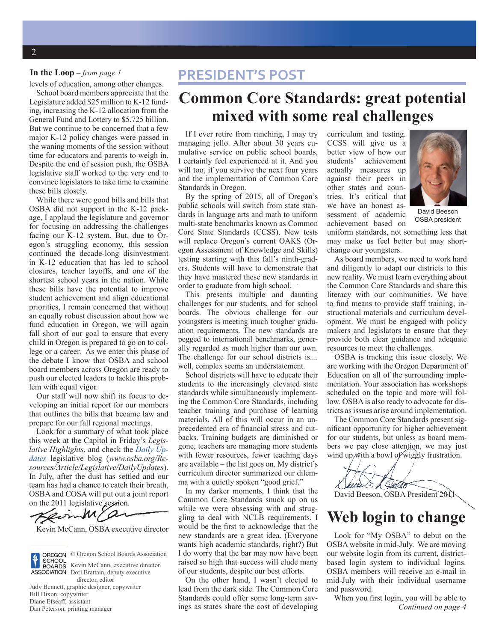#### **In the Loop** – *from page 1*

levels of education, among other changes.

School board members appreciate that the Legislature added \$25 million to K-12 funding, increasing the K-12 allocation from the General Fund and Lottery to \$5.725 billion. But we continue to be concerned that a few major K-12 policy changes were passed in the waning moments of the session without time for educators and parents to weigh in. Despite the end of session push, the OSBA legislative staff worked to the very end to convince legislators to take time to examine these bills closely.

While there were good bills and bills that OSBA did not support in the K-12 package, I applaud the legislature and governor for focusing on addressing the challenges facing our K-12 system. But, due to Oregon's struggling economy, this session continued the decade-long disinvestment in K-12 education that has led to school closures, teacher layoffs, and one of the shortest school years in the nation. While these bills have the potential to improve student achievement and align educational priorities, I remain concerned that without an equally robust discussion about how we fund education in Oregon, we will again fall short of our goal to ensure that every child in Oregon is prepared to go on to college or a career. As we enter this phase of the debate I know that OSBA and school board members across Oregon are ready to push our elected leaders to tackle this problem with equal vigor.

Our staff will now shift its focus to developing an initial report for our members that outlines the bills that became law and prepare for our fall regional meetings.

Look for a summary of what took place this week at the Capitol in Friday's *Legislative Highlights*, and check the *[Daily Up](www.osba.org/Resources/Article/Legislative/DailyUpdates)[dates](www.osba.org/Resources/Article/Legislative/DailyUpdates)* legislative blog (*www.osba.org/Resources/Article/Legislative/DailyUpdates*). In July, after the dust has settled and our team has had a chance to catch their breath, OSBA and COSA will put out a joint report on the 2011 legislative session.

Kevin McCann, OSBA executive director



© Oregon School Boards Association Kevin McCann, executive director **ASSOCIATION** Dori Brattain, deputy executive director, editor

Judy Bennett, graphic designer, copywriter Bill Dixon, copywriter Diane Efseaff, assistant Dan Peterson, printing manager

## **PRESIDENT'S POST**

## **Common Core Standards: great potential mixed with some real challenges**

If I ever retire from ranching, I may try managing jello. After about 30 years cumulative service on public school boards, I certainly feel experienced at it. And you will too, if you survive the next four years and the implementation of Common Core Standards in Oregon.

By the spring of 2015, all of Oregon's public schools will switch from state standards in language arts and math to uniform multi-state benchmarks known as Common Core State Standards (CCSS). New tests will replace Oregon's current OAKS (Oregon Assessment of Knowledge and Skills) testing starting with this fall's ninth-graders. Students will have to demonstrate that they have mastered these new standards in order to graduate from high school.

This presents multiple and daunting challenges for our students, and for school boards. The obvious challenge for our youngsters is meeting much tougher graduation requirements. The new standards are pegged to international benchmarks, generally regarded as much higher than our own. The challenge for our school districts is.... well, complex seems an understatement.

School districts will have to educate their students to the increasingly elevated state standards while simultaneously implementing the Common Core Standards, including teacher training and purchase of learning materials. All of this will occur in an unprecedented era of financial stress and cutbacks. Training budgets are diminished or gone, teachers are managing more students with fewer resources, fewer teaching days are available – the list goes on. My district's curriculum director summarized our dilemma with a quietly spoken "good grief."

In my darker moments, I think that the Common Core Standards snuck up on us while we were obsessing with and struggling to deal with NCLB requirements. I would be the first to acknowledge that the new standards are a great idea. (Everyone wants high academic standards, right?) But I do worry that the bar may now have been raised so high that success will elude many of our students, despite our best efforts.

On the other hand, I wasn't elected to lead from the dark side. The Common Core Standards could offer some long-term savings as states share the cost of developing curriculum and testing. CCSS will give us a better view of how our students' achievement actually measures up against their peers in other states and countries. It's critical that we have an honest assessment of academic achievement based on



David Beeson OSBA president

uniform standards, not something less that may make us feel better but may shortchange our youngsters.

As board members, we need to work hard and diligently to adapt our districts to this new reality. We must learn everything about the Common Core Standards and share this literacy with our communities. We have to find means to provide staff training, instructional materials and curriculum development. We must be engaged with policy makers and legislators to ensure that they provide both clear guidance and adequate resources to meet the challenges.

OSBA is tracking this issue closely. We are working with the Oregon Department of Education on all of the surrounding implementation. Your association has workshops scheduled on the topic and more will follow. OSBA is also ready to advocate for districts as issues arise around implementation.

The Common Core Standards present significant opportunity for higher achievement for our students, but unless as board members we pay close attention, we may just wind up  $\hat{w}$  th a bowl of wiggly frustration.

J pers Seell David Beeson, OSBA President 2011

## **Web login to change**

Look for "My OSBA" to debut on the OSBA website in mid-July. We are moving our website login from its current, districtbased login system to individual logins. OSBA members will receive an e-mail in mid-July with their individual username and password.

*Continued on page 4* When you first login, you will be able to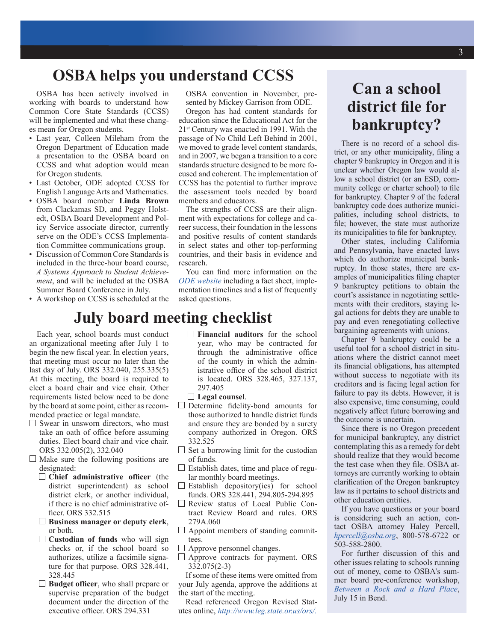## **OSBA helps you understand CCSS**

OSBA has been actively involved in working with boards to understand how Common Core State Standards (CCSS) will be implemented and what these changes mean for Oregon students.

- Last year, Colleen Mileham from the Oregon Department of Education made a presentation to the OSBA board on CCSS and what adoption would mean for Oregon students.
- Last October, ODE adopted CCSS for English Language Arts and Mathematics.
- OSBA board member **Linda Brown** from Clackamas SD, and Peggy Holstedt, OSBA Board Development and Policy Service associate director, currently serve on the ODE's CCSS Implementation Committee communications group.
- Discussion of Common Core Standards is included in the three-hour board course, *A Systems Approach to Student Achievement*, and will be included at the OSBA Summer Board Conference in July.
- A workshop on CCSS is scheduled at the

OSBA convention in November, presented by Mickey Garrison from ODE.

Oregon has had content standards for education since the Educational Act for the 21st Century was enacted in 1991. With the passage of No Child Left Behind in 2001, we moved to grade level content standards, and in 2007, we began a transition to a core standards structure designed to be more focused and coherent. The implementation of CCSS has the potential to further improve the assessment tools needed by board members and educators.

The strengths of CCSS are their alignment with expectations for college and career success, their foundation in the lessons and positive results of content standards in select states and other top-performing countries, and their basis in evidence and research.

You can find more information on the *[ODE website](http://www.ode.state.or.us/search/page/?id=2860)* including a fact sheet, implementation timelines and a list of frequently asked questions.

## **July board meeting checklist**

Each year, school boards must conduct an organizational meeting after July 1 to begin the new fiscal year. In election years, that meeting must occur no later than the last day of July. ORS 332.040, 255.335(5) At this meeting, the board is required to elect a board chair and vice chair. Other requirements listed below need to be done by the board at some point, either as recommended practice or legal mandate.

- $\Box$  Swear in unsworn directors, who must take an oath of office before assuming duties. Elect board chair and vice chair. ORS 332.005(2), 332.040
- $\Box$  Make sure the following positions are designated:
	- **Chief administrative officer** (the district superintendent) as school district clerk, or another individual. if there is no chief administrative officer. ORS 332.515
	- **Business manager or deputy clerk**, or both.
	- **Custodian of funds** who will sign  $\Box$ checks or, if the school board so authorizes, utilize a facsimile signature for that purpose. ORS 328.441, 328.445
	- **Budget officer**, who shall prepare or supervise preparation of the budget document under the direction of the executive officer. ORS 294.331
- **Financial auditors** for the school year, who may be contracted for through the administrative office of the county in which the administrative office of the school district is located. ORS 328.465, 327.137, 297.405
- **Legal counsel**.
- $\Box$  Determine fidelity-bond amounts for those authorized to handle district funds and ensure they are bonded by a surety company authorized in Oregon. ORS 332.525
- $\square$  Set a borrowing limit for the custodian of funds.
- $\Box$  Establish dates, time and place of regular monthly board meetings.
- $\square$  Establish depository(ies) for school funds. ORS 328.441, 294.805-294.895
- Review status of Local Public Contract Review Board and rules. ORS 279A.060
- $\Box$  Appoint members of standing committees.
- $\Box$  Approve personnel changes.
- $\Box$  Approve contracts for payment. ORS 332.075(2-3)

If some of these items were omitted from your July agenda, approve the additions at the start of the meeting.

Read referenced Oregon Revised Statutes online, *[http://www.leg.state.or.us/ors/.](http://www.leg.state.or.us/ors/)*

# **Can a school district file for bankruptcy?**

There is no record of a school district, or any other municipality, filing a chapter 9 bankruptcy in Oregon and it is unclear whether Oregon law would allow a school district (or an ESD, community college or charter school) to file for bankruptcy. Chapter 9 of the federal bankruptcy code does authorize municipalities, including school districts, to file; however, the state must authorize its municipalities to file for bankruptcy.

Other states, including California and Pennsylvania, have enacted laws which do authorize municipal bankruptcy. In those states, there are examples of municipalities filing chapter 9 bankruptcy petitions to obtain the court's assistance in negotiating settlements with their creditors, staying legal actions for debts they are unable to pay and even renegotiating collective bargaining agreements with unions.

Chapter 9 bankruptcy could be a useful tool for a school district in situations where the district cannot meet its financial obligations, has attempted without success to negotiate with its creditors and is facing legal action for failure to pay its debts. However, it is also expensive, time consuming, could negatively affect future borrowing and the outcome is uncertain.

Since there is no Oregon precedent for municipal bankruptcy, any district contemplating this as a remedy for debt should realize that they would become the test case when they file. OSBA attorneys are currently working to obtain clarification of the Oregon bankruptcy law as it pertains to school districts and other education entities.

If you have questions or your board is considering such an action, contact OSBA attorney Haley Percell, *[hpercell@osba.org](mailto:hpercell@osba.org)*, 800-578-6722 or 503-588-2800.

For further discussion of this and other issues relating to schools running out of money, come to OSBA's summer board pre-conference workshop, *[Between a Rock and a Hard Place](http://www.osba.org/Calendar/Events/Summer_Board_conference-2011.aspx?page=custom1)*, July 15 in Bend.